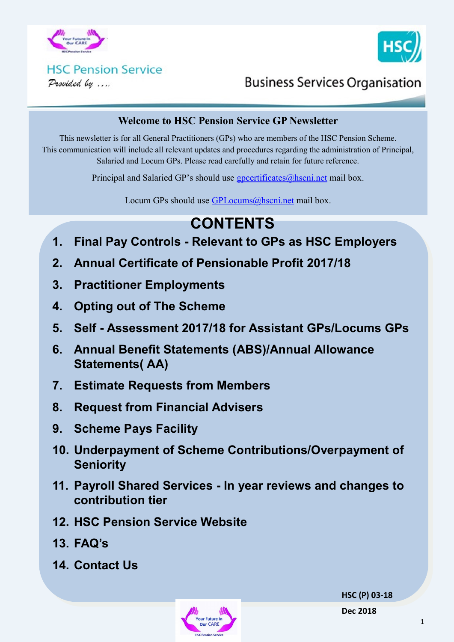



# **HSC Pension Service**

Provided by ....

# **Business Services Organisation**

#### **Welcome to HSC Pension Service GP Newsletter**

This newsletter is for all General Practitioners (GPs) who are members of the HSC Pension Scheme. This communication will include all relevant updates and procedures regarding the administration of Principal, Salaried and Locum GPs. Please read carefully and retain for future reference.

Principal and Salaried GP's should use gpcertificates $@$ hscni.net mail box.

Locum GPs should use [GPLocums@hscni.net](mailto:GPLocums@hscni.net) mail box.

# **CONTENTS**

- **1. Final Pay Controls - Relevant to GPs as HSC Employers**
- **2. Annual Certificate of Pensionable Profit 2017/18**
- **3. Practitioner Employments**
- **4. Opting out of The Scheme**
- **5. Self - Assessment 2017/18 for Assistant GPs/Locums GPs**
- **6. Annual Benefit Statements (ABS)/Annual Allowance Statements( AA)**
- **7. Estimate Requests from Members**
- **8. Request from Financial Advisers**
- **9. Scheme Pays Facility**
- **10. Underpayment of Scheme Contributions/Overpayment of Seniority**
- **11. Payroll Shared Services - In year reviews and changes to contribution tier**
- **12. HSC Pension Service Website**
- **13. FAQ's**
- **14. Contact Us**



**HSC (P) 03-18**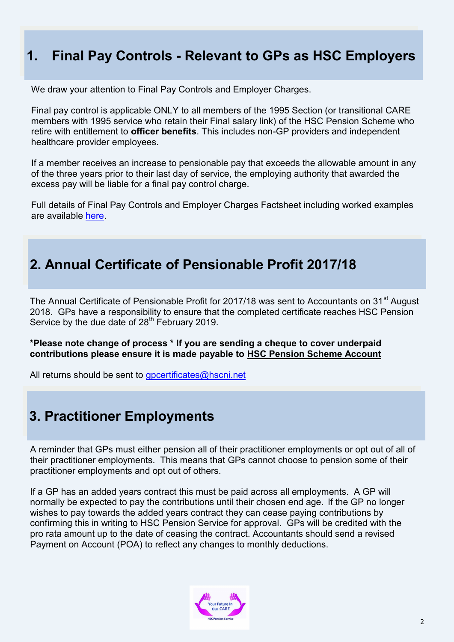### **1. Final Pay Controls - Relevant to GPs as HSC Employers**

We draw your attention to Final Pay Controls and Employer Charges.

Final pay control is applicable ONLY to all members of the 1995 Section (or transitional CARE members with 1995 service who retain their Final salary link) of the HSC Pension Scheme who retire with entitlement to **officer benefits**. This includes non-GP providers and independent healthcare provider employees.

If a member receives an increase to pensionable pay that exceeds the allowable amount in any of the three years prior to their last day of service, the employing authority that awarded the excess pay will be liable for a final pay control charge.

Full details of Final Pay Controls and Employer Charges Factsheet including worked examples are available [here.](http://www.hscpensions.hscni.net/download/Final-Pay-Controls-and-Employer-Charge-Factsheet.pdf)

### **2. Annual Certificate of Pensionable Profit 2017/18**

The Annual Certificate of Pensionable Profit for 2017/18 was sent to Accountants on 31<sup>st</sup> August 2018. GPs have a responsibility to ensure that the completed certificate reaches HSC Pension Service by the due date of  $28<sup>th</sup>$  February 2019.

**\*Please note change of process \* If you are sending a cheque to cover underpaid contributions please ensure it is made payable to HSC Pension Scheme Account**

All returns should be sent to [gpcertificates@hscni.net](mailto:gpcertificates@hscni.net)

#### **3. Practitioner Employments**

A reminder that GPs must either pension all of their practitioner employments or opt out of all of their practitioner employments. This means that GPs cannot choose to pension some of their practitioner employments and opt out of others.

If a GP has an added years contract this must be paid across all employments. A GP will normally be expected to pay the contributions until their chosen end age. If the GP no longer wishes to pay towards the added years contract they can cease paying contributions by confirming this in writing to HSC Pension Service for approval. GPs will be credited with the pro rata amount up to the date of ceasing the contract. Accountants should send a revised Payment on Account (POA) to reflect any changes to monthly deductions.

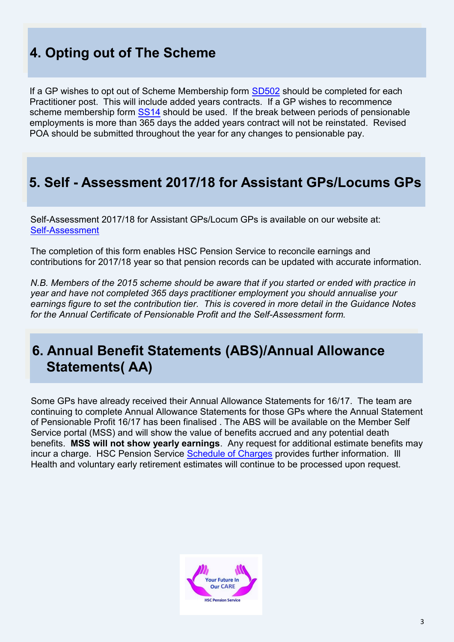# **4. Opting out of The Scheme**

If a GP wishes to opt out of Scheme Membership form [SD502](http://www.hscpensions.hscni.net/download/Scheme%20Forms/SD502.pdf) should be completed for each Practitioner post. This will include added years contracts. If a GP wishes to recommence scheme membership form [SS14](http://www.hscpensions.hscni.net/download/Scheme%20Forms/SS14-Oct-18-1.pdf) should be used. If the break between periods of pensionable employments is more than 365 days the added years contract will not be reinstated. Revised POA should be submitted throughout the year for any changes to pensionable pay.

#### **5. Self - Assessment 2017/18 for Assistant GPs/Locums GPs**

Self-Assessment 2017/18 for Assistant GPs/Locum GPs is available on our website at: Self-[Assessment](http://www.hscpensions.hscni.net/practitioners/salaried-3/)

The completion of this form enables HSC Pension Service to reconcile earnings and contributions for 2017/18 year so that pension records can be updated with accurate information.

*N.B. Members of the 2015 scheme should be aware that if you started or ended with practice in year and have not completed 365 days practitioner employment you should annualise your earnings figure to set the contribution tier. This is covered in more detail in the Guidance Notes for the Annual Certificate of Pensionable Profit and the Self-Assessment form.*

### **6. Annual Benefit Statements (ABS)/Annual Allowance Statements( AA)**

Some GPs have already received their Annual Allowance Statements for 16/17. The team are continuing to complete Annual Allowance Statements for those GPs where the Annual Statement of Pensionable Profit 16/17 has been finalised . The ABS will be available on the Member Self Service portal (MSS) and will show the value of benefits accrued and any potential death benefits. **MSS will not show yearly earnings**. Any request for additional estimate benefits may incur a charge. HSC Pension Service [Schedule of Charges](http://www.hscpensions.hscni.net/file/schedule-of-charges-member-pdf/) provides further information. Ill Health and voluntary early retirement estimates will continue to be processed upon request.

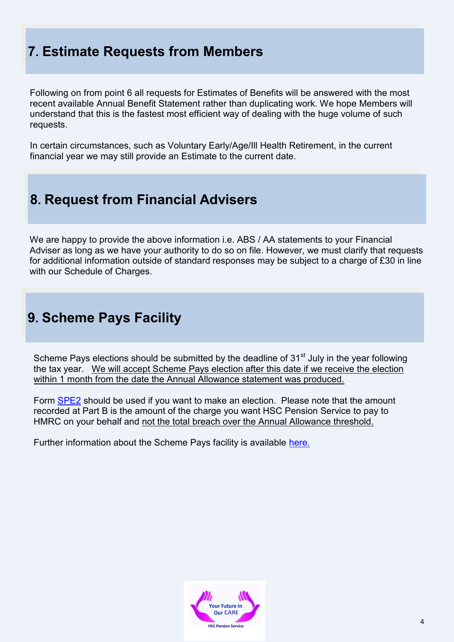# **7. Estimate Requests from Members**

Following on from point 6 all requests for Estimates of Benefits will be answered with the most recent available Annual Benefit Statement rather than duplicating work. We hope Members will understand that this is the fastest most efficient way of dealing with the huge volume of such requests.

In certain circumstances, such as Voluntary Early/Age/Ill Health Retirement, in the current financial year we may still provide an Estimate to the current date.

### **8. Request from Financial Advisers**

We are happy to provide the above information i.e. ABS / AA statements to your Financial Adviser as long as we have your authority to do so on file. However, we must clarify that requests for additional information outside of standard responses may be subject to a charge of £30 in line with our Schedule of Charges.

# **9. Scheme Pays Facility**

Scheme Pays elections should be submitted by the deadline of  $31<sup>st</sup>$  July in the year following the tax year. We will accept Scheme Pays election after this date if we receive the election within 1 month from the date the Annual Allowance statement was produced.

Form [SPE2](http://www.hscpensions.hscni.net/download/Scheme%20Forms/member_forms/SPE2..pdf) should be used if you want to make an election. Please note that the amount recorded at Part B is the amount of the charge you want HSC Pension Service to pay to HMRC on your behalf and not the total breach over the Annual Allowance threshold.

Further information about the Scheme Pays facility is available [here.](http://www.hscpensions.hscni.net/scheme-pays/)

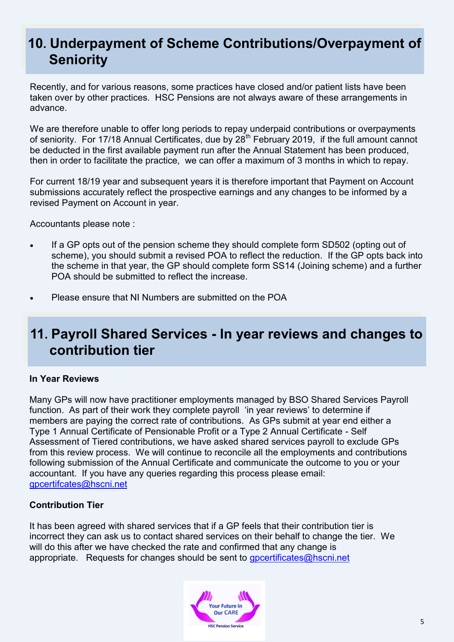# **10. Underpayment of Scheme Contributions/Overpayment of Seniority**

Recently, and for various reasons, some practices have closed and/or patient lists have been taken over by other practices. HSC Pensions are not always aware of these arrangements in advance.

We are therefore unable to offer long periods to repay underpaid contributions or overpayments of seniority. For 17/18 Annual Certificates, due by 28<sup>th</sup> February 2019, if the full amount cannot be deducted in the first available payment run after the Annual Statement has been produced, then in order to facilitate the practice, we can offer a maximum of 3 months in which to repay.

For current 18/19 year and subsequent years it is therefore important that Payment on Account submissions accurately reflect the prospective earnings and any changes to be informed by a revised Payment on Account in year.

Accountants please note :

- If a GP opts out of the pension scheme they should complete form SD502 (opting out of scheme), you should submit a revised POA to reflect the reduction. If the GP opts back into the scheme in that year, the GP should complete form SS14 (Joining scheme) and a further POA should be submitted to reflect the increase.
- Please ensure that NI Numbers are submitted on the POA

# **11. Payroll Shared Services - In year reviews and changes to contribution tier**

#### **In Year Reviews**

Many GPs will now have practitioner employments managed by BSO Shared Services Payroll function. As part of their work they complete payroll 'in year reviews' to determine if members are paying the correct rate of contributions. As GPs submit at year end either a Type 1 Annual Certificate of Pensionable Profit or a Type 2 Annual Certificate - Self Assessment of Tiered contributions, we have asked shared services payroll to exclude GPs from this review process. We will continue to reconcile all the employments and contributions following submission of the Annual Certificate and communicate the outcome to you or your accountant. If you have any queries regarding this process please email: [gpcertifcates@hscni.net](mailto:gpcertifcates@hscni.net)

#### **Contribution Tier**

It has been agreed with shared services that if a GP feels that their contribution tier is incorrect they can ask us to contact shared services on their behalf to change the tier. We will do this after we have checked the rate and confirmed that any change is appropriate. Requests for changes should be sent to [gpcertificates@hscni.net](mailto:gpcertificates@hscni.net)

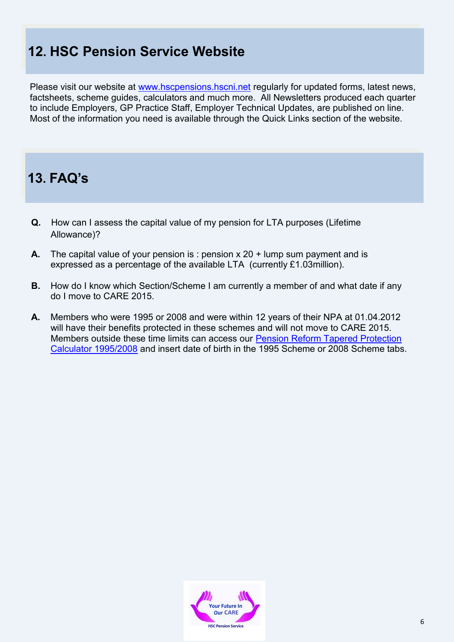# **12. HSC Pension Service Website**

Please visit our website at [www.hscpensions.hscni.net](http://www.hscpensions.hscni.net) regularly for updated forms, latest news, factsheets, scheme guides, calculators and much more. All Newsletters produced each quarter to include Employers, GP Practice Staff, Employer Technical Updates, are published on line. Most of the information you need is available through the Quick Links section of the website.

#### **13. FAQ's**

- **Q.** How can I assess the capital value of my pension for LTA purposes (Lifetime Allowance)?
- **A.** The capital value of your pension is : pension x 20 + lump sum payment and is expressed as a percentage of the available LTA (currently £1.03million).
- **B.** How do I know which Section/Scheme I am currently a member of and what date if any do I move to CARE 2015.
- **A.** Members who were 1995 or 2008 and were within 12 years of their NPA at 01.04.2012 will have their benefits protected in these schemes and will not move to CARE 2015. Members outside these time limits can access our [Pension Reform Tapered Protection](http://www.hscpensions.hscni.net/pension-reform-tapered-protection-calculatorinformation/)  [Calculator 1995/2008](http://www.hscpensions.hscni.net/pension-reform-tapered-protection-calculatorinformation/) and insert date of birth in the 1995 Scheme or 2008 Scheme tabs.